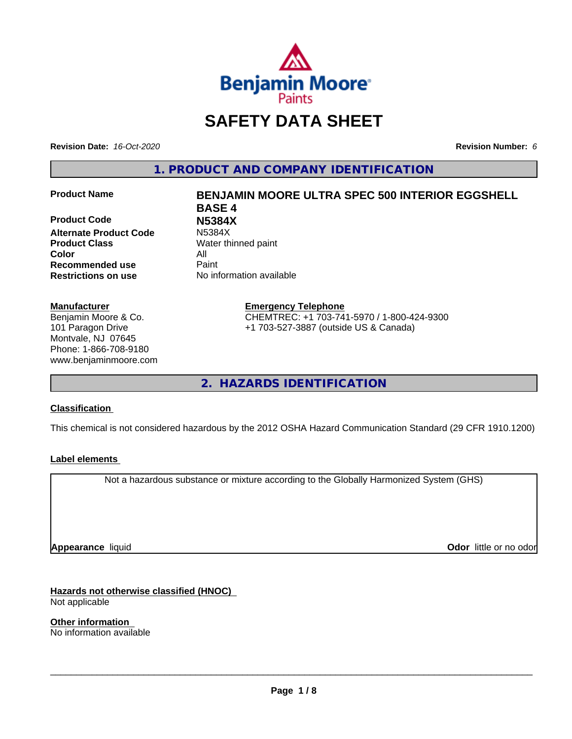

# **SAFETY DATA SHEET**

**Revision Date:** *16-Oct-2020* **Revision Number:** *6*

**1. PRODUCT AND COMPANY IDENTIFICATION**

**Product Code N5384X Alternate Product Code Product Class** Water thinned paint **Color** All **Recommended use** Paint **Restrictions on use** No information available

#### **Manufacturer**

Benjamin Moore & Co. 101 Paragon Drive Montvale, NJ 07645 Phone: 1-866-708-9180 www.benjaminmoore.com

# **Product Name BENJAMIN MOORE ULTRA SPEC 500 INTERIOR EGGSHELL BASE 4**

**Emergency Telephone** CHEMTREC: +1 703-741-5970 / 1-800-424-9300 +1 703-527-3887 (outside US & Canada)

**2. HAZARDS IDENTIFICATION**

### **Classification**

This chemical is not considered hazardous by the 2012 OSHA Hazard Communication Standard (29 CFR 1910.1200)

### **Label elements**

Not a hazardous substance or mixture according to the Globally Harmonized System (GHS)

**Appearance** liquid

**Odor** little or no odor

**Hazards not otherwise classified (HNOC)** Not applicable

**Other information** No information available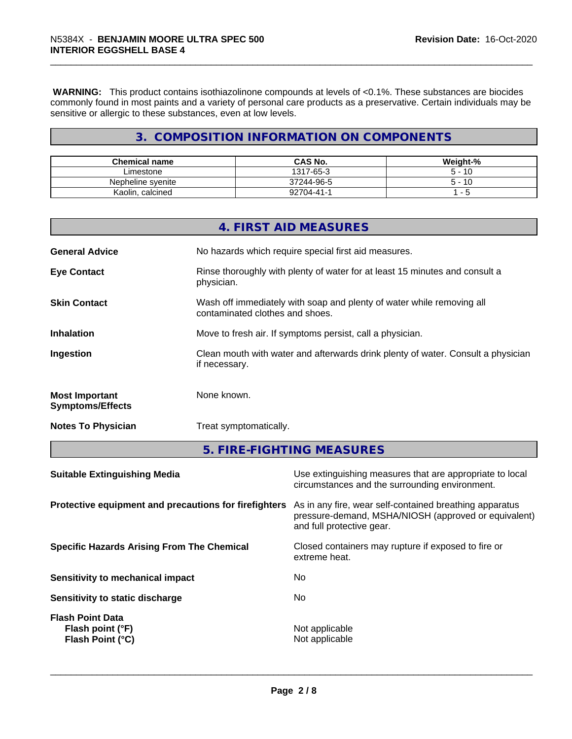**WARNING:** This product contains isothiazolinone compounds at levels of <0.1%. These substances are biocides commonly found in most paints and a variety of personal care products as a preservative. Certain individuals may be sensitive or allergic to these substances, even at low levels.

# **3. COMPOSITION INFORMATION ON COMPONENTS**

| <b>Chemical name</b> | <b>CAS No.</b> | Weight-%    |
|----------------------|----------------|-------------|
| Limestone            | 1317-65-3      | -10         |
| Nepheline svenite    | 37244-96-5     | $-10$       |
| Kaolin, calcined     | າ2704-41-      | -<br>$\sim$ |

|                                                  | 4. FIRST AID MEASURES                                                                                    |
|--------------------------------------------------|----------------------------------------------------------------------------------------------------------|
| <b>General Advice</b>                            | No hazards which require special first aid measures.                                                     |
| <b>Eye Contact</b>                               | Rinse thoroughly with plenty of water for at least 15 minutes and consult a<br>physician.                |
| <b>Skin Contact</b>                              | Wash off immediately with soap and plenty of water while removing all<br>contaminated clothes and shoes. |
| <b>Inhalation</b>                                | Move to fresh air. If symptoms persist, call a physician.                                                |
| Ingestion                                        | Clean mouth with water and afterwards drink plenty of water. Consult a physician<br>if necessary.        |
| <b>Most Important</b><br><b>Symptoms/Effects</b> | None known.                                                                                              |
| <b>Notes To Physician</b>                        | Treat symptomatically.                                                                                   |

**5. FIRE-FIGHTING MEASURES**

| <b>Suitable Extinguishing Media</b>                                    | Use extinguishing measures that are appropriate to local<br>circumstances and the surrounding environment.                                   |
|------------------------------------------------------------------------|----------------------------------------------------------------------------------------------------------------------------------------------|
| Protective equipment and precautions for firefighters                  | As in any fire, wear self-contained breathing apparatus<br>pressure-demand, MSHA/NIOSH (approved or equivalent)<br>and full protective gear. |
| <b>Specific Hazards Arising From The Chemical</b>                      | Closed containers may rupture if exposed to fire or<br>extreme heat.                                                                         |
| Sensitivity to mechanical impact                                       | No                                                                                                                                           |
| Sensitivity to static discharge                                        | No                                                                                                                                           |
| <b>Flash Point Data</b><br>Flash point (°F)<br><b>Flash Point (°C)</b> | Not applicable<br>Not applicable                                                                                                             |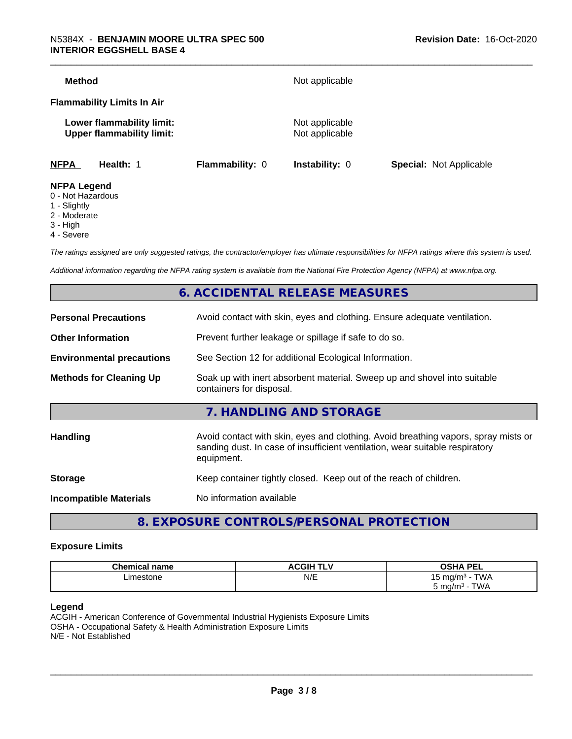| Method                                                        |                 | Not applicable                   |                                |
|---------------------------------------------------------------|-----------------|----------------------------------|--------------------------------|
| <b>Flammability Limits In Air</b>                             |                 |                                  |                                |
| Lower flammability limit:<br><b>Upper flammability limit:</b> |                 | Not applicable<br>Not applicable |                                |
| <b>NFPA</b><br>Health: 1                                      | Flammability: 0 | <b>Instability: 0</b>            | <b>Special: Not Applicable</b> |
| <b>NFPA Legend</b><br>$\bigcap$ Niat Liamandaun               |                 |                                  |                                |

- 0 Not Hazardous
- 1 Slightly
- 2 Moderate
- 3 High
- 4 Severe

*The ratings assigned are only suggested ratings, the contractor/employer has ultimate responsibilities for NFPA ratings where this system is used.*

*Additional information regarding the NFPA rating system is available from the National Fire Protection Agency (NFPA) at www.nfpa.org.*

# **6. ACCIDENTAL RELEASE MEASURES**

| <b>Personal Precautions</b>      | Avoid contact with skin, eyes and clothing. Ensure adequate ventilation.                                                                                                         |
|----------------------------------|----------------------------------------------------------------------------------------------------------------------------------------------------------------------------------|
| <b>Other Information</b>         | Prevent further leakage or spillage if safe to do so.                                                                                                                            |
| <b>Environmental precautions</b> | See Section 12 for additional Ecological Information.                                                                                                                            |
| <b>Methods for Cleaning Up</b>   | Soak up with inert absorbent material. Sweep up and shovel into suitable<br>containers for disposal.                                                                             |
|                                  | 7. HANDLING AND STORAGE                                                                                                                                                          |
| Handling                         | Avoid contact with skin, eyes and clothing. Avoid breathing vapors, spray mists or<br>sanding dust. In case of insufficient ventilation, wear suitable respiratory<br>equipment. |
| <b>Storage</b>                   | Keep container tightly closed. Keep out of the reach of children.                                                                                                                |
| <b>Incompatible Materials</b>    | No information available                                                                                                                                                         |
|                                  |                                                                                                                                                                                  |

# **8. EXPOSURE CONTROLS/PERSONAL PROTECTION**

#### **Exposure Limits**

| <b>Chemical name</b> | <b>ACGIH TLV</b> | <b>OSHA PEL</b>                       |
|----------------------|------------------|---------------------------------------|
| ∟imestone            | N/E              | $T$ $M$<br>` mɑ/m∘<br><b>VVM</b><br>ັ |
|                      |                  | TWA<br>ma/m<br>ບ ເ                    |

#### **Legend**

ACGIH - American Conference of Governmental Industrial Hygienists Exposure Limits OSHA - Occupational Safety & Health Administration Exposure Limits N/E - Not Established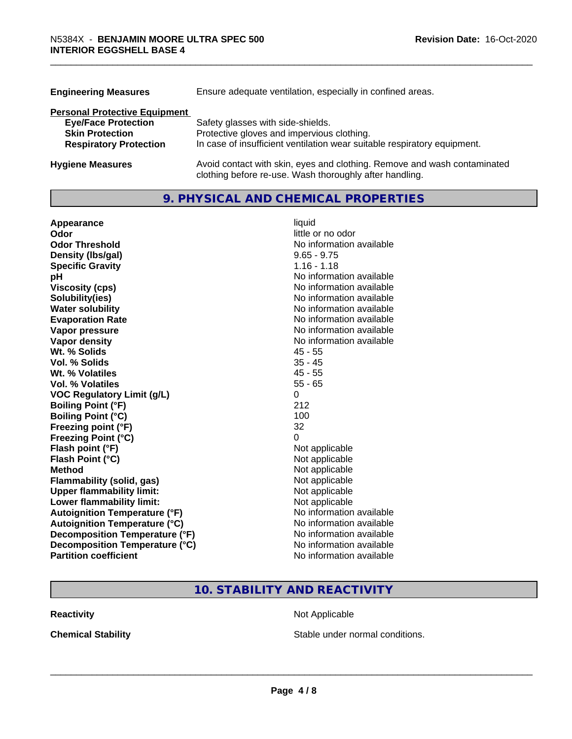| <b>Engineering Measures</b>          | Ensure adequate ventilation, especially in confined areas.                                                                          |  |  |  |
|--------------------------------------|-------------------------------------------------------------------------------------------------------------------------------------|--|--|--|
| <b>Personal Protective Equipment</b> |                                                                                                                                     |  |  |  |
| <b>Eye/Face Protection</b>           | Safety glasses with side-shields.                                                                                                   |  |  |  |
| <b>Skin Protection</b>               | Protective gloves and impervious clothing.                                                                                          |  |  |  |
| <b>Respiratory Protection</b>        | In case of insufficient ventilation wear suitable respiratory equipment.                                                            |  |  |  |
| <b>Hygiene Measures</b>              | Avoid contact with skin, eyes and clothing. Remove and wash contaminated<br>clothing before re-use. Wash thoroughly after handling. |  |  |  |

# **9. PHYSICAL AND CHEMICAL PROPERTIES**

| Appearance                           | liquid                   |
|--------------------------------------|--------------------------|
| Odor                                 | little or no odor        |
| <b>Odor Threshold</b>                | No information available |
| Density (Ibs/gal)                    | $9.65 - 9.75$            |
| <b>Specific Gravity</b>              | $1.16 - 1.18$            |
| рH                                   | No information available |
| <b>Viscosity (cps)</b>               | No information available |
| Solubility(ies)                      | No information available |
| <b>Water solubility</b>              | No information available |
| <b>Evaporation Rate</b>              | No information available |
| Vapor pressure                       | No information available |
| Vapor density                        | No information available |
| Wt. % Solids                         | $45 - 55$                |
| Vol. % Solids                        | $35 - 45$                |
| Wt. % Volatiles                      | $45 - 55$                |
| <b>Vol. % Volatiles</b>              | $55 - 65$                |
| <b>VOC Regulatory Limit (g/L)</b>    | 0                        |
| <b>Boiling Point (°F)</b>            | 212                      |
| <b>Boiling Point (°C)</b>            | 100                      |
| Freezing point (°F)                  | 32                       |
| <b>Freezing Point (°C)</b>           | 0                        |
| Flash point (°F)                     | Not applicable           |
| Flash Point (°C)                     | Not applicable           |
| <b>Method</b>                        | Not applicable           |
| Flammability (solid, gas)            | Not applicable           |
| <b>Upper flammability limit:</b>     | Not applicable           |
| Lower flammability limit:            | Not applicable           |
| <b>Autoignition Temperature (°F)</b> | No information available |
| <b>Autoignition Temperature (°C)</b> | No information available |
| Decomposition Temperature (°F)       | No information available |
| Decomposition Temperature (°C)       | No information available |
| <b>Partition coefficient</b>         | No information available |

# **10. STABILITY AND REACTIVITY**

**Reactivity Not Applicable Not Applicable** 

**Chemical Stability Chemical Stability** Stable under normal conditions.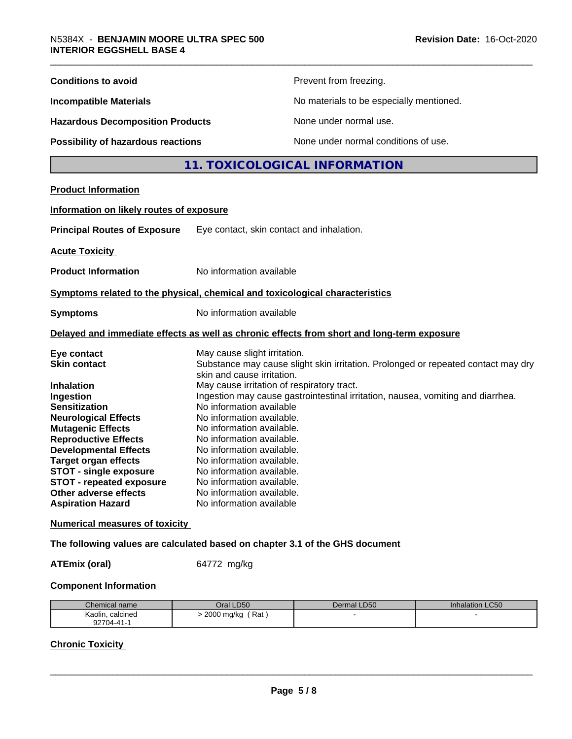| <b>Conditions to avoid</b>               | Prevent from freezing.                                                                                          |
|------------------------------------------|-----------------------------------------------------------------------------------------------------------------|
| <b>Incompatible Materials</b>            | No materials to be especially mentioned.                                                                        |
| <b>Hazardous Decomposition Products</b>  | None under normal use.                                                                                          |
| Possibility of hazardous reactions       | None under normal conditions of use.                                                                            |
|                                          | 11. TOXICOLOGICAL INFORMATION                                                                                   |
| <b>Product Information</b>               |                                                                                                                 |
| Information on likely routes of exposure |                                                                                                                 |
| <b>Principal Routes of Exposure</b>      | Eye contact, skin contact and inhalation.                                                                       |
| <b>Acute Toxicity</b>                    |                                                                                                                 |
| <b>Product Information</b>               | No information available                                                                                        |
|                                          | Symptoms related to the physical, chemical and toxicological characteristics                                    |
| <b>Symptoms</b>                          | No information available                                                                                        |
|                                          | Delayed and immediate effects as well as chronic effects from short and long-term exposure                      |
| Eye contact                              | May cause slight irritation.                                                                                    |
| <b>Skin contact</b>                      | Substance may cause slight skin irritation. Prolonged or repeated contact may dry<br>skin and cause irritation. |
| <b>Inhalation</b>                        | May cause irritation of respiratory tract.                                                                      |
| Ingestion                                | Ingestion may cause gastrointestinal irritation, nausea, vomiting and diarrhea.                                 |
| <b>Sensitization</b>                     | No information available                                                                                        |
| <b>Neurological Effects</b>              | No information available.                                                                                       |
| <b>Mutagenic Effects</b>                 | No information available.                                                                                       |
| <b>Reproductive Effects</b>              | No information available.                                                                                       |
| <b>Developmental Effects</b>             | No information available.                                                                                       |
| <b>Target organ effects</b>              | No information available.                                                                                       |
| <b>STOT - single exposure</b>            | No information available.                                                                                       |
| <b>STOT - repeated exposure</b>          | No information available.                                                                                       |
| Other adverse effects                    | No information available.                                                                                       |
| <b>Aspiration Hazard</b>                 | No information available                                                                                        |
| <b>Numerical measures of toxicity</b>    |                                                                                                                 |
|                                          | The following values are calculated based on chapter 3.1 of the GHS document                                    |

**ATEmix (oral)** 64772 mg/kg

# **Component Information**

| Chemical name       | <b>LD50</b><br>Dral                 | Dermal LD50 | Inhalation LC50 |
|---------------------|-------------------------------------|-------------|-----------------|
| Kaolin,<br>calcined | Rat<br>2000 mg/kg<br>$\cdot$<br>. . |             |                 |
| 92704-41            |                                     |             |                 |

# **Chronic Toxicity**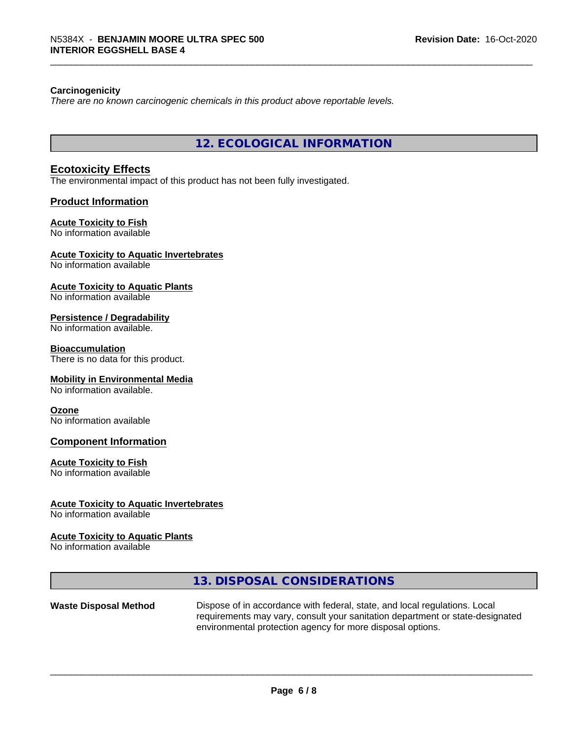#### **Carcinogenicity**

*There are no known carcinogenic chemicals in this product above reportable levels.*

**12. ECOLOGICAL INFORMATION**

#### **Ecotoxicity Effects**

The environmental impact of this product has not been fully investigated.

#### **Product Information**

#### **Acute Toxicity to Fish**

No information available

#### **Acute Toxicity to Aquatic Invertebrates**

No information available

#### **Acute Toxicity to Aquatic Plants**

No information available

# **Persistence / Degradability**

No information available.

#### **Bioaccumulation**

There is no data for this product.

#### **Mobility in Environmental Media**

No information available.

#### **Ozone**

No information available

### **Component Information**

#### **Acute Toxicity to Fish**

No information available

#### **Acute Toxicity to Aquatic Invertebrates**

No information available

#### **Acute Toxicity to Aquatic Plants**

No information available

# **13. DISPOSAL CONSIDERATIONS**

**Waste Disposal Method** Dispose of in accordance with federal, state, and local regulations. Local requirements may vary, consult your sanitation department or state-designated environmental protection agency for more disposal options.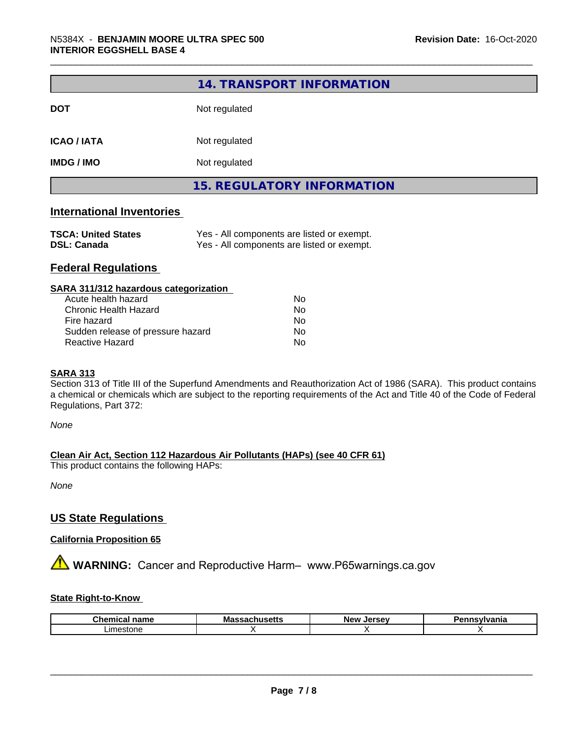|                                  | 14. TRANSPORT INFORMATION         |  |  |  |
|----------------------------------|-----------------------------------|--|--|--|
| <b>DOT</b>                       | Not regulated                     |  |  |  |
| <b>ICAO / IATA</b>               | Not regulated                     |  |  |  |
| <b>IMDG / IMO</b>                | Not regulated                     |  |  |  |
|                                  | <b>15. REGULATORY INFORMATION</b> |  |  |  |
| <b>International Inventories</b> |                                   |  |  |  |

# **TSCA: United States** Yes - All components are listed or exempt. **DSL: Canada** Yes - All components are listed or exempt.

# **Federal Regulations**

#### **SARA 311/312 hazardous categorization**

| Acute health hazard               | Nο |  |
|-----------------------------------|----|--|
| Chronic Health Hazard             | Nο |  |
| Fire hazard                       | N٥ |  |
| Sudden release of pressure hazard | Nο |  |
| Reactive Hazard                   | Nο |  |

#### **SARA 313**

Section 313 of Title III of the Superfund Amendments and Reauthorization Act of 1986 (SARA). This product contains a chemical or chemicals which are subject to the reporting requirements of the Act and Title 40 of the Code of Federal Regulations, Part 372:

*None*

### **Clean Air Act,Section 112 Hazardous Air Pollutants (HAPs) (see 40 CFR 61)**

This product contains the following HAPs:

*None*

# **US State Regulations**

#### **California Proposition 65**

**AN** WARNING: Cancer and Reproductive Harm– www.P65warnings.ca.gov

#### **State Right-to-Know**

| $\sim$<br>.<br>name<br><br>uu | . .<br>M s<br>mass.<br>.<br>---- | <b>Nev</b><br> |  |
|-------------------------------|----------------------------------|----------------|--|
| $L$ Ime<br>eestone            |                                  |                |  |